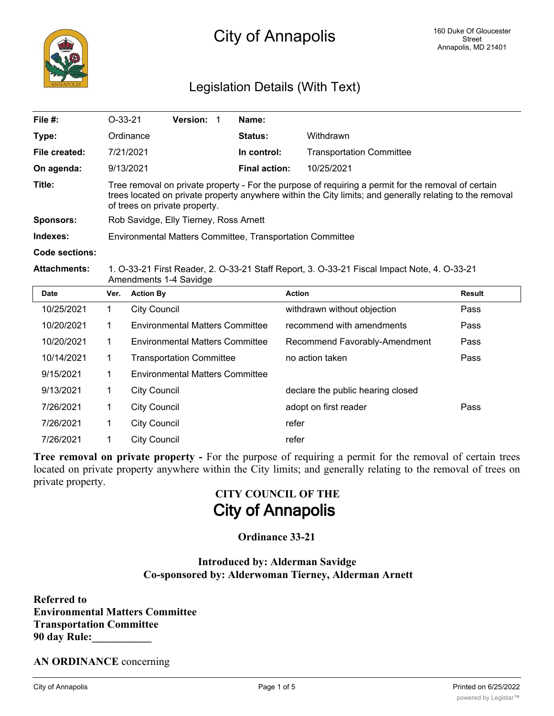

### Legislation Details (With Text)

| File $#$ :          | $O-33-21$                                                                                                                                                                                                                                        |                     | Version: 1                             |  | Name:                |                                   |               |
|---------------------|--------------------------------------------------------------------------------------------------------------------------------------------------------------------------------------------------------------------------------------------------|---------------------|----------------------------------------|--|----------------------|-----------------------------------|---------------|
| Type:               |                                                                                                                                                                                                                                                  | Ordinance           |                                        |  | <b>Status:</b>       | Withdrawn                         |               |
| File created:       |                                                                                                                                                                                                                                                  | 7/21/2021           |                                        |  | In control:          | <b>Transportation Committee</b>   |               |
| On agenda:          |                                                                                                                                                                                                                                                  | 9/13/2021           |                                        |  | <b>Final action:</b> | 10/25/2021                        |               |
| Title:              | Tree removal on private property - For the purpose of requiring a permit for the removal of certain<br>trees located on private property anywhere within the City limits; and generally relating to the removal<br>of trees on private property. |                     |                                        |  |                      |                                   |               |
| <b>Sponsors:</b>    | Rob Savidge, Elly Tierney, Ross Arnett                                                                                                                                                                                                           |                     |                                        |  |                      |                                   |               |
| Indexes:            | Environmental Matters Committee, Transportation Committee                                                                                                                                                                                        |                     |                                        |  |                      |                                   |               |
| Code sections:      |                                                                                                                                                                                                                                                  |                     |                                        |  |                      |                                   |               |
| <b>Attachments:</b> | 1. O-33-21 First Reader, 2. O-33-21 Staff Report, 3. O-33-21 Fiscal Impact Note, 4. O-33-21<br>Amendments 1-4 Savidge                                                                                                                            |                     |                                        |  |                      |                                   |               |
| <b>Date</b>         | Ver.                                                                                                                                                                                                                                             | <b>Action By</b>    |                                        |  |                      | <b>Action</b>                     | <b>Result</b> |
| 10/25/2021          | 1                                                                                                                                                                                                                                                | <b>City Council</b> |                                        |  |                      | withdrawn without objection       | Pass          |
| 10/20/2021          | 1.                                                                                                                                                                                                                                               |                     | <b>Environmental Matters Committee</b> |  |                      | recommend with amendments         | Pass          |
| 10/20/2021          | 1                                                                                                                                                                                                                                                |                     | <b>Environmental Matters Committee</b> |  |                      | Recommend Favorably-Amendment     | Pass          |
| 10/14/2021          | 1.                                                                                                                                                                                                                                               |                     | <b>Transportation Committee</b>        |  |                      | no action taken                   | Pass          |
| 9/15/2021           | 1                                                                                                                                                                                                                                                |                     | <b>Environmental Matters Committee</b> |  |                      |                                   |               |
| 9/13/2021           | 1                                                                                                                                                                                                                                                | <b>City Council</b> |                                        |  |                      | declare the public hearing closed |               |
| 7/26/2021           | 1                                                                                                                                                                                                                                                | <b>City Council</b> |                                        |  |                      | adopt on first reader             | Pass          |
| 7/26/2021           | 1                                                                                                                                                                                                                                                | <b>City Council</b> |                                        |  |                      | refer                             |               |
| 7/26/2021           | 1                                                                                                                                                                                                                                                | <b>City Council</b> |                                        |  |                      | refer                             |               |

**Tree removal on private property -** For the purpose of requiring a permit for the removal of certain trees located on private property anywhere within the City limits; and generally relating to the removal of trees on private property.

# **CITY COUNCIL OF THE City of Annapolis**

#### **Ordinance 33-21**

#### **Introduced by: Alderman Savidge Co-sponsored by: Alderwoman Tierney, Alderman Arnett**

**Referred to Environmental Matters Committee Transportation Committee 90 day Rule:\_\_\_\_\_\_\_\_\_\_\_**

**AN ORDINANCE** concerning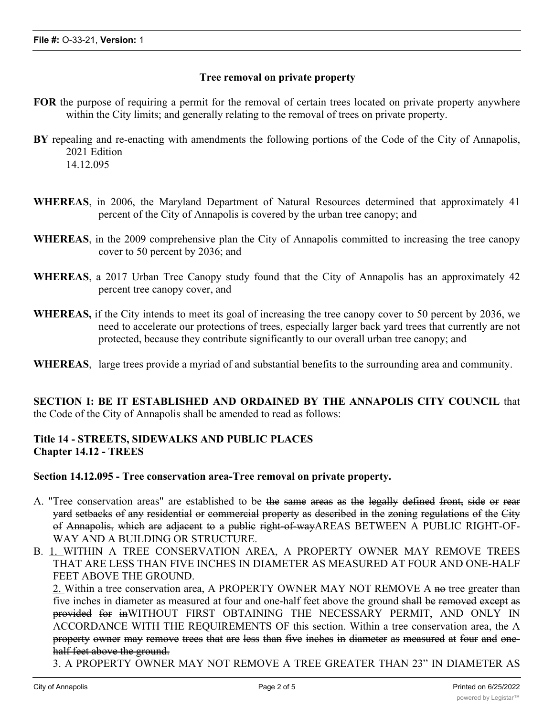#### **Tree removal on private property**

- **FOR** the purpose of requiring a permit for the removal of certain trees located on private property anywhere within the City limits; and generally relating to the removal of trees on private property.
- **BY** repealing and re-enacting with amendments the following portions of the Code of the City of Annapolis, 2021 Edition 14.12.095
- **WHEREAS**, in 2006, the Maryland Department of Natural Resources determined that approximately 41 percent of the City of Annapolis is covered by the urban tree canopy; and
- **WHEREAS**, in the 2009 comprehensive plan the City of Annapolis committed to increasing the tree canopy cover to 50 percent by 2036; and
- **WHEREAS**, a 2017 Urban Tree Canopy study found that the City of Annapolis has an approximately 42 percent tree canopy cover, and
- **WHEREAS,** if the City intends to meet its goal of increasing the tree canopy cover to 50 percent by 2036, we need to accelerate our protections of trees, especially larger back yard trees that currently are not protected, because they contribute significantly to our overall urban tree canopy; and
- **WHEREAS**, large trees provide a myriad of and substantial benefits to the surrounding area and community.

**SECTION I: BE IT ESTABLISHED AND ORDAINED BY THE ANNAPOLIS CITY COUNCIL** that the Code of the City of Annapolis shall be amended to read as follows:

#### **Title 14 - STREETS, SIDEWALKS AND PUBLIC PLACES Chapter 14.12 - TREES**

**Section 14.12.095 - Tree conservation area-Tree removal on private property.**

- A. "Tree conservation areas" are established to be the same areas as the legally defined front, side or rear yard setbacks of any residential or commercial property as described in the zoning regulations of the City of Annapolis, which are adjacent to a public right-of-wayAREAS BETWEEN A PUBLIC RIGHT-OF-WAY AND A BUILDING OR STRUCTURE.
- B. 1. WITHIN A TREE CONSERVATION AREA, A PROPERTY OWNER MAY REMOVE TREES THAT ARE LESS THAN FIVE INCHES IN DIAMETER AS MEASURED AT FOUR AND ONE-HALF FEET ABOVE THE GROUND.

2. Within a tree conservation area, A PROPERTY OWNER MAY NOT REMOVE A no tree greater than five inches in diameter as measured at four and one-half feet above the ground shall be removed except as provided for inWITHOUT FIRST OBTAINING THE NECESSARY PERMIT, AND ONLY IN ACCORDANCE WITH THE REQUIREMENTS OF this section. Within a tree conservation area, the A property owner may remove trees that are less than five inches in diameter as measured at four and onehalf feet above the ground.

3. A PROPERTY OWNER MAY NOT REMOVE A TREE GREATER THAN 23" IN DIAMETER AS  $\mathcal{M}_{\mathcal{B}}$  and  $\mathcal{M}_{\mathcal{B}}$  four above the ground, one-half  $\mathcal{M}_{\mathcal{B}}$  above the ground, one-half  $\mathcal{M}_{\mathcal{B}}$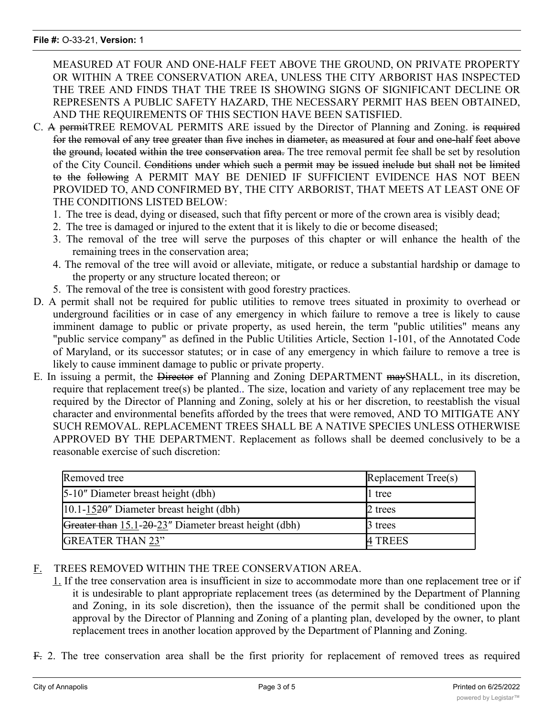MEASURED AT FOUR AND ONE-HALF FEET ABOVE THE GROUND, ON PRIVATE PROPERTY OR WITHIN A TREE CONSERVATION AREA, UNLESS THE CITY ARBORIST HAS INSPECTED THE TREE AND FINDS THAT THE TREE IS SHOWING SIGNS OF SIGNIFICANT DECLINE OR REPRESENTS A PUBLIC SAFETY HAZARD, THE NECESSARY PERMIT HAS BEEN OBTAINED, AND THE REQUIREMENTS OF THIS SECTION HAVE BEEN SATISFIED.

- C. A permitTREE REMOVAL PERMITS ARE issued by the Director of Planning and Zoning. is required for the removal of any tree greater than five inches in diameter, as measured at four and one-half feet above the ground, located within the tree conservation area. The tree removal permit fee shall be set by resolution of the City Council. Conditions under which such a permit may be issued include but shall not be limited to the following A PERMIT MAY BE DENIED IF SUFFICIENT EVIDENCE HAS NOT BEEN PROVIDED TO, AND CONFIRMED BY, THE CITY ARBORIST, THAT MEETS AT LEAST ONE OF THE CONDITIONS LISTED BELOW:
	- 1. The tree is dead, dying or diseased, such that fifty percent or more of the crown area is visibly dead;
	- 2. The tree is damaged or injured to the extent that it is likely to die or become diseased;
	- 3. The removal of the tree will serve the purposes of this chapter or will enhance the health of the remaining trees in the conservation area;
	- 4. The removal of the tree will avoid or alleviate, mitigate, or reduce a substantial hardship or damage to the property or any structure located thereon; or
	- 5. The removal of the tree is consistent with good forestry practices.
- D. A permit shall not be required for public utilities to remove trees situated in proximity to overhead or underground facilities or in case of any emergency in which failure to remove a tree is likely to cause imminent damage to public or private property, as used herein, the term "public utilities" means any "public service company" as defined in the Public Utilities Article, Section 1-101, of the Annotated Code of Maryland, or its successor statutes; or in case of any emergency in which failure to remove a tree is likely to cause imminent damage to public or private property.
- E. In issuing a permit, the Director of Planning and Zoning DEPARTMENT maySHALL, in its discretion, require that replacement tree(s) be planted.. The size, location and variety of any replacement tree may be required by the Director of Planning and Zoning, solely at his or her discretion, to reestablish the visual character and environmental benefits afforded by the trees that were removed, AND TO MITIGATE ANY SUCH REMOVAL. REPLACEMENT TREES SHALL BE A NATIVE SPECIES UNLESS OTHERWISE APPROVED BY THE DEPARTMENT. Replacement as follows shall be deemed conclusively to be a reasonable exercise of such discretion:

| Removed tree                                          | Replacement Tree(s) |
|-------------------------------------------------------|---------------------|
| 5-10" Diameter breast height (dbh)                    | 1 tree              |
| $ 10.1 - 1520$ " Diameter breast height (dbh)         | 2 trees             |
| Greater than 15.1-20-23" Diameter breast height (dbh) | 3 trees             |
| <b>GREATER THAN 23"</b>                               | 4 TREES             |

#### F. TREES REMOVED WITHIN THE TREE CONSERVATION AREA.

- 1. If the tree conservation area is insufficient in size to accommodate more than one replacement tree or if it is undesirable to plant appropriate replacement trees (as determined by the Department of Planning and Zoning, in its sole discretion), then the issuance of the permit shall be conditioned upon the approval by the Director of Planning and Zoning of a planting plan, developed by the owner, to plant replacement trees in another location approved by the Department of Planning and Zoning.
- F. 2. The tree conservation area shall be the first priority for replacement of removed trees as required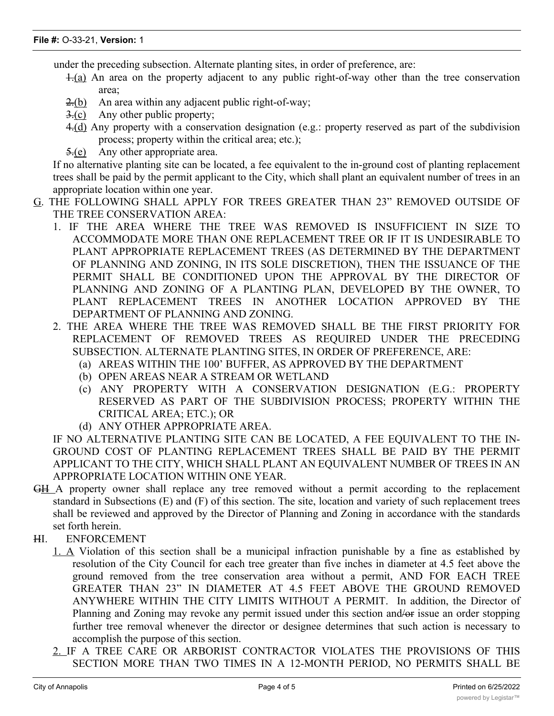under the preceding subsection. Alternate planting sites, in order of preference, are:

- 1.(a) An area on the property adjacent to any public right-of-way other than the tree conservation area;
- 2.(b) An area within any adjacent public right-of-way;
- 3.(c) Any other public property;
- 4.(d) Any property with a conservation designation (e.g.: property reserved as part of the subdivision process; property within the critical area; etc.);
- 5.(e) Any other appropriate area.

If no alternative planting site can be located, a fee equivalent to the in-ground cost of planting replacement trees shall be paid by the permit applicant to the City, which shall plant an equivalent number of trees in an appropriate location within one year.

- G. THE FOLLOWING SHALL APPLY FOR TREES GREATER THAN 23" REMOVED OUTSIDE OF THE TREE CONSERVATION AREA:
	- 1. IF THE AREA WHERE THE TREE WAS REMOVED IS INSUFFICIENT IN SIZE TO ACCOMMODATE MORE THAN ONE REPLACEMENT TREE OR IF IT IS UNDESIRABLE TO PLANT APPROPRIATE REPLACEMENT TREES (AS DETERMINED BY THE DEPARTMENT OF PLANNING AND ZONING, IN ITS SOLE DISCRETION), THEN THE ISSUANCE OF THE PERMIT SHALL BE CONDITIONED UPON THE APPROVAL BY THE DIRECTOR OF PLANNING AND ZONING OF A PLANTING PLAN, DEVELOPED BY THE OWNER, TO PLANT REPLACEMENT TREES IN ANOTHER LOCATION APPROVED BY THE DEPARTMENT OF PLANNING AND ZONING.
	- 2. THE AREA WHERE THE TREE WAS REMOVED SHALL BE THE FIRST PRIORITY FOR REPLACEMENT OF REMOVED TREES AS REQUIRED UNDER THE PRECEDING SUBSECTION. ALTERNATE PLANTING SITES, IN ORDER OF PREFERENCE, ARE:
		- (a) AREAS WITHIN THE 100' BUFFER, AS APPROVED BY THE DEPARTMENT
		- (b) OPEN AREAS NEAR A STREAM OR WETLAND
		- (c) ANY PROPERTY WITH A CONSERVATION DESIGNATION (E.G.: PROPERTY RESERVED AS PART OF THE SUBDIVISION PROCESS; PROPERTY WITHIN THE CRITICAL AREA; ETC.); OR
		- (d) ANY OTHER APPROPRIATE AREA.

IF NO ALTERNATIVE PLANTING SITE CAN BE LOCATED, A FEE EQUIVALENT TO THE IN-GROUND COST OF PLANTING REPLACEMENT TREES SHALL BE PAID BY THE PERMIT APPLICANT TO THE CITY, WHICH SHALL PLANT AN EQUIVALENT NUMBER OF TREES IN AN APPROPRIATE LOCATION WITHIN ONE YEAR.

- GH A property owner shall replace any tree removed without a permit according to the replacement standard in Subsections (E) and (F) of this section. The site, location and variety of such replacement trees shall be reviewed and approved by the Director of Planning and Zoning in accordance with the standards set forth herein.
- HI. ENFORCEMENT
	- 1. A Violation of this section shall be a municipal infraction punishable by a fine as established by resolution of the City Council for each tree greater than five inches in diameter at 4.5 feet above the ground removed from the tree conservation area without a permit, AND FOR EACH TREE GREATER THAN 23" IN DIAMETER AT 4.5 FEET ABOVE THE GROUND REMOVED ANYWHERE WITHIN THE CITY LIMITS WITHOUT A PERMIT. In addition, the Director of Planning and Zoning may revoke any permit issued under this section and/or issue an order stopping further tree removal whenever the director or designee determines that such action is necessary to accomplish the purpose of this section.
	- 2. IF A TREE CARE OR ARBORIST CONTRACTOR VIOLATES THE PROVISIONS OF THIS SECTION MORE THAN TWO TIMES IN A 12-MONTH PERIOD, NO PERMITS SHALL BE

ISSUED TO THAT CONTRACTOR, AND NO PERMIT SHALL BE APPROXIMATELY AND NO PERMIT SHALL BE APPROXIMATELY A PROGES